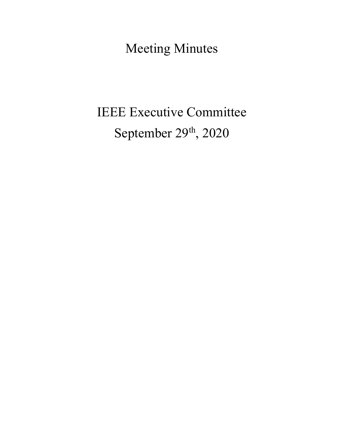Meeting Minutes

# IEEE Executive Committee September 29<sup>th</sup>, 2020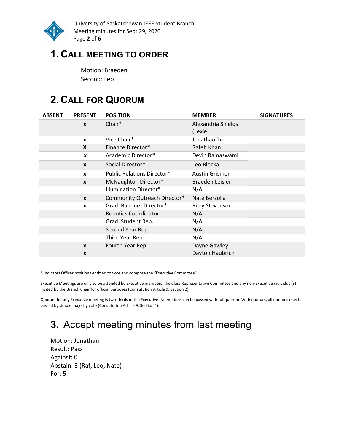

University of Saskatchewan IEEE Student Branch Meeting minutes for Sept 29, 2020 Page 2 of 6

### 1. CALL MEETING TO ORDER

Motion: Braeden Second: Leo

# 2. CALL FOR QUORUM

| <b>ABSENT</b> | <b>PRESENT</b>   | <b>POSITION</b>                   | <b>MEMBER</b>          | <b>SIGNATURES</b> |
|---------------|------------------|-----------------------------------|------------------------|-------------------|
|               | X                | Chair*                            | Alexandria Shields     |                   |
|               |                  |                                   | (Lexie)                |                   |
|               | $\mathbf{x}$     | Vice Chair*                       | Jonathan Tu            |                   |
|               | X                | Finance Director*                 | Rafeh Khan             |                   |
|               | X                | Academic Director*                | Devin Ramaswami        |                   |
|               | $\mathbf{x}$     | Social Director*                  | Leo Blocka             |                   |
|               | $\mathbf{x}$     | <b>Public Relations Director*</b> | <b>Austin Grismer</b>  |                   |
|               | $\boldsymbol{x}$ | McNaughton Director*              | Braeden Leisler        |                   |
|               |                  | Illumination Director*            | N/A                    |                   |
|               | $\mathbf{x}$     | Community Outreach Director*      | Nate Berzolla          |                   |
|               | X                | Grad. Banquet Director*           | <b>Riley Stevenson</b> |                   |
|               |                  | <b>Robotics Coordinator</b>       | N/A                    |                   |
|               |                  | Grad. Student Rep.                | N/A                    |                   |
|               |                  | Second Year Rep.                  | N/A                    |                   |
|               |                  | Third Year Rep.                   | N/A                    |                   |
|               | X                | Fourth Year Rep.                  | Dayne Gawley           |                   |
|               | X                |                                   | Dayton Haubrich        |                   |

\* Indicates Officer positions entitled to vote and compose the "Executive Committee".

Executive Meetings are only to be attended by Executive members, the Class Representative Committee and any non-Executive individual(s) invited by the Branch Chair for official purposes (Constitution Article 9, Section 2).

Quorum for any Executive meeting is two-thirds of the Executive. No motions can be passed without quorum. With quorum, all motions may be passed by simple majority vote (Constitution Article 9, Section 4).

# 3. Accept meeting minutes from last meeting

Motion: Jonathan Result: Pass Against: 0 Abstain: 3 (Raf, Leo, Nate) For: 5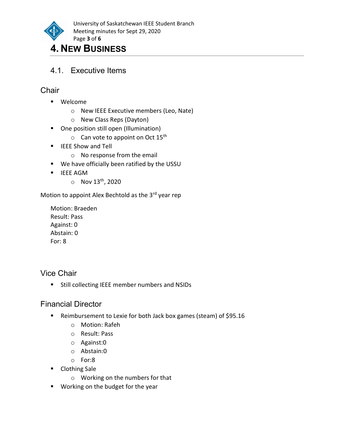

### 4. NEW BUSINESS

4.1. Executive Items

#### **Chair**

- Welcome
	- o New IEEE Executive members (Leo, Nate)
	- o New Class Reps (Dayton)
- **•** One position still open (Illumination)
	- $\circ$  Can vote to appoint on Oct 15<sup>th</sup>
- **EXECUTE:** IEEE Show and Tell
	- o No response from the email
- We have officially been ratified by the USSU
- **IEEE AGM** 
	- $\circ$  Nov 13<sup>th</sup>, 2020

Motion to appoint Alex Bechtold as the 3rd year rep

Motion: Braeden Result: Pass Against: 0 Abstain: 0 For: 8

Vice Chair

**Still collecting IEEE member numbers and NSIDs** 

#### Financial Director

- Reimbursement to Lexie for both Jack box games (steam) of \$95.16
	- o Motion: Rafeh
	- o Result: Pass
	- o Against:0
	- o Abstain:0
	- o For:8
- Clothing Sale
	- o Working on the numbers for that
- **Working on the budget for the year**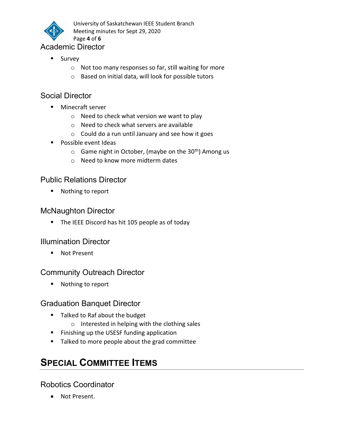

University of Saskatchewan IEEE Student Branch Meeting minutes for Sept 29, 2020 Page 4 of 6

#### Academic Director

- **Survey** 
	- o Not too many responses so far, still waiting for more
	- o Based on initial data, will look for possible tutors

#### Social Director

- **Minecraft server** 
	- o Need to check what version we want to play
	- o Need to check what servers are available
	- o Could do a run until January and see how it goes
- **Possible event Ideas** 
	- $\circ$  Game night in October, (maybe on the 30<sup>th</sup>) Among us
	- o Need to know more midterm dates

#### Public Relations Director

■ Nothing to report

#### McNaughton Director

The IEEE Discord has hit 105 people as of today

#### Illumination Director

■ Not Present

#### Community Outreach Director

■ Nothing to report

#### Graduation Banquet Director

- Talked to Raf about the budget
	- o Interested in helping with the clothing sales
- **Finishing up the USESF funding application**
- **Talked to more people about the grad committee**

## SPECIAL COMMITTEE ITEMS

#### Robotics Coordinator

Not Present.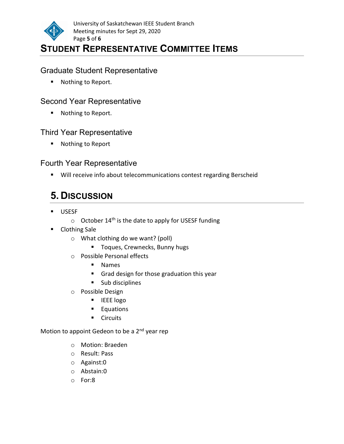

### STUDENT REPRESENTATIVE COMMITTEE ITEMS

#### Graduate Student Representative

■ Nothing to Report.

#### Second Year Representative

■ Nothing to Report.

#### Third Year Representative

■ Nothing to Report

#### Fourth Year Representative

**Will receive info about telecommunications contest regarding Berscheid** 

# 5. DISCUSSION

- USESF
	- $\circ$  October 14<sup>th</sup> is the date to apply for USESF funding
- **Clothing Sale** 
	- o What clothing do we want? (poll)
		- **Toques, Crewnecks, Bunny hugs**
	- o Possible Personal effects
		- Names
		- Grad design for those graduation this year
		- **Sub disciplines**
	- o Possible Design
		- **IEEE** logo
		- **Equations**
		- **Circuits**

Motion to appoint Gedeon to be a 2<sup>nd</sup> year rep

- o Motion: Braeden
- o Result: Pass
- o Against:0
- o Abstain:0
- o For:8